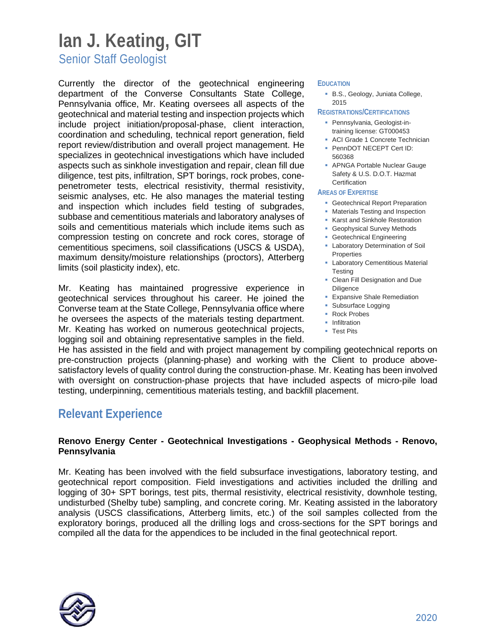# **Ian J. Keating, GIT**

Senior Staff Geologist

Currently the director of the geotechnical engineering department of the Converse Consultants State College, Pennsylvania office, Mr. Keating oversees all aspects of the geotechnical and material testing and inspection projects which include project initiation/proposal-phase, client interaction, coordination and scheduling, technical report generation, field report review/distribution and overall project management. He specializes in geotechnical investigations which have included aspects such as sinkhole investigation and repair, clean fill due diligence, test pits, infiltration, SPT borings, rock probes, conepenetrometer tests, electrical resistivity, thermal resistivity, seismic analyses, etc. He also manages the material testing and inspection which includes field testing of subgrades, subbase and cementitious materials and laboratory analyses of soils and cementitious materials which include items such as compression testing on concrete and rock cores, storage of cementitious specimens, soil classifications (USCS & USDA), maximum density/moisture relationships (proctors), Atterberg limits (soil plasticity index), etc.

Mr. Keating has maintained progressive experience in geotechnical services throughout his career. He joined the Converse team at the State College, Pennsylvania office where he oversees the aspects of the materials testing department. Mr. Keating has worked on numerous geotechnical projects, logging soil and obtaining representative samples in the field.

#### **EDUCATION**

 B.S., Geology, Juniata College, 2015

#### **REGISTRATIONS/CERTIFICATIONS**

- Pennsylvania, Geologist-intraining license: GT000453
- **ACI Grade 1 Concrete Technician**
- **PennDOT NECEPT Cert ID:** 560368
- **APNGA Portable Nuclear Gauge** Safety & U.S. D.O.T. Hazmat **Certification**

#### **AREAS OF EXPERTISE**

- **Geotechnical Report Preparation**
- **Materials Testing and Inspection**
- **Karst and Sinkhole Restoration**
- **Geophysical Survey Methods**
- **Geotechnical Engineering**
- **-** Laboratory Determination of Soil Properties
- **-** Laboratory Cementitious Material **Testing**
- Clean Fill Designation and Due Diligence
- **Expansive Shale Remediation**
- **Subsurface Logging**
- Rock Probes
- **-** Infiltration
- Test Pits

He has assisted in the field and with project management by compiling geotechnical reports on pre-construction projects (planning-phase) and working with the Client to produce abovesatisfactory levels of quality control during the construction-phase. Mr. Keating has been involved with oversight on construction-phase projects that have included aspects of micro-pile load testing, underpinning, cementitious materials testing, and backfill placement.

### **Relevant Experience**

#### **Renovo Energy Center - Geotechnical Investigations - Geophysical Methods - Renovo, Pennsylvania**

Mr. Keating has been involved with the field subsurface investigations, laboratory testing, and geotechnical report composition. Field investigations and activities included the drilling and logging of 30+ SPT borings, test pits, thermal resistivity, electrical resistivity, downhole testing, undisturbed (Shelby tube) sampling, and concrete coring. Mr. Keating assisted in the laboratory analysis (USCS classifications, Atterberg limits, etc.) of the soil samples collected from the exploratory borings, produced all the drilling logs and cross-sections for the SPT borings and compiled all the data for the appendices to be included in the final geotechnical report.